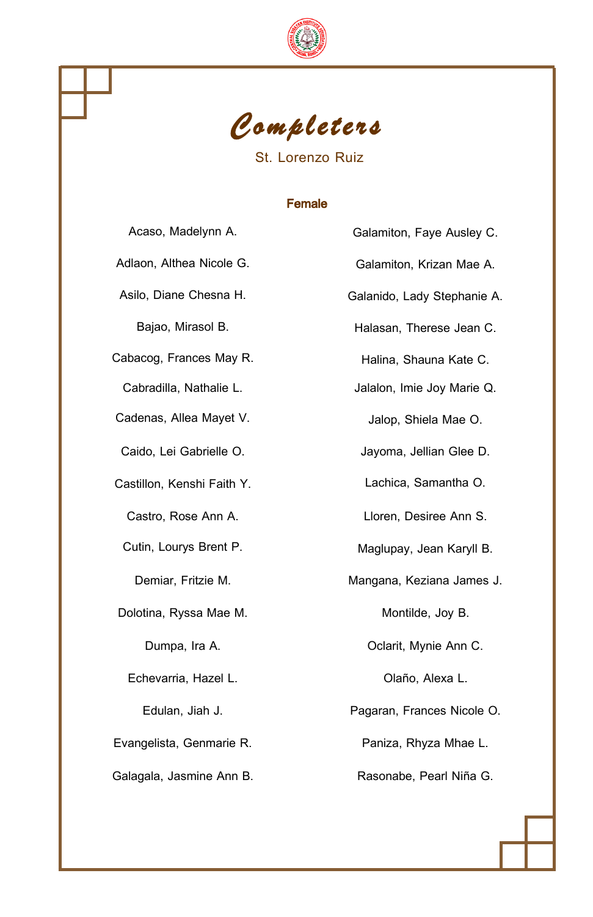



### St. Lorenzo Ruiz

### Female

| Acaso, Madelynn A.         |   |
|----------------------------|---|
| Adlaon, Althea Nicole G.   |   |
| Asilo, Diane Chesna H.     | G |
| Bajao, Mirasol B.          |   |
| Cabacog, Frances May R.    |   |
| Cabradilla, Nathalie L.    |   |
| Cadenas, Allea Mayet V.    |   |
| Caido, Lei Gabrielle O.    |   |
| Castillon, Kenshi Faith Y. |   |
| Castro, Rose Ann A.        |   |
| Cutin, Lourys Brent P.     |   |
| Demiar, Fritzie M.         | N |
| Dolotina, Ryssa Mae M.     |   |
| Dumpa, Ira A.              |   |
| Echevarria, Hazel L.       |   |
| Edulan, Jiah J.            | F |
| Evangelista, Genmarie R.   |   |
| Galagala, Jasmine Ann B.   |   |

Galamiton, Faye Ausley C. Galamiton, Krizan Mae A. Galanido, Lady Stephanie A. Halasan, Therese Jean C. Halina, Shauna Kate C. Jalalon, Imie Joy Marie Q. Jalop, Shiela Mae O. Jayoma, Jellian Glee D. Lachica, Samantha O. Lloren, Desiree Ann S. Maglupay, Jean Karyll B. Aangana, Keziana James J. Montilde, Joy B. Oclarit, Mynie Ann C. Olaño, Alexa L. Pagaran, Frances Nicole O. Paniza, Rhyza Mhae L. Rasonabe, Pearl Niña G.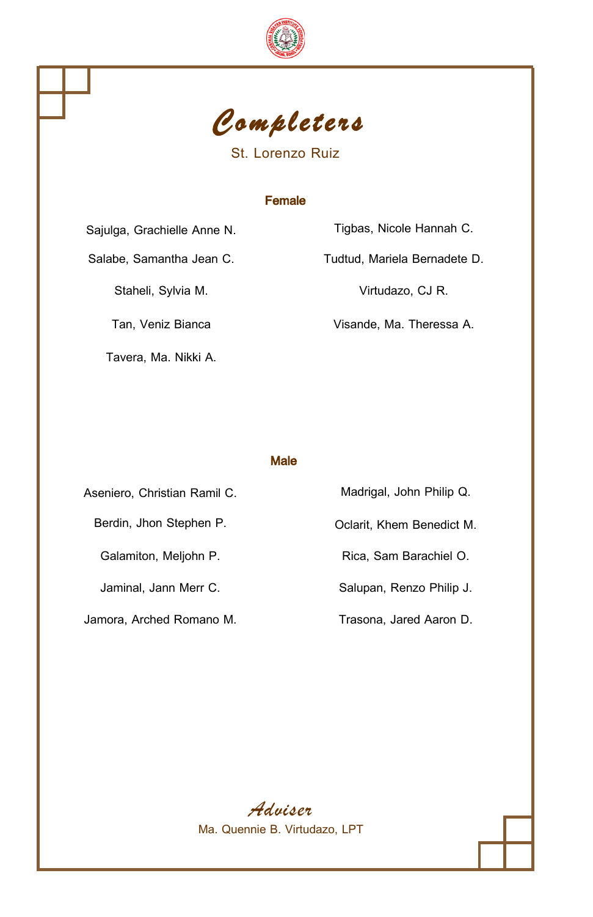



St. Lorenzo Ruiz

### Female

Tavera, Ma. Nikki A.

Sajulga, Grachielle Anne N. Tigbas, Nicole Hannah C. Salabe, Samantha Jean C. Tudtud, Mariela Bernadete D. Staheli, Sylvia M. Virtudazo, CJ R. Tan, Veniz Bianca Visande, Ma. Theressa A.

Male

Aseniero, Christian Ramil C. Madrigal, John Philip Q. Berdin, Jhon Stephen P. Colarit, Khem Benedict M. Galamiton, Meljohn P. **Rica, Sam Barachiel O.** Rica, Sam Barachiel O. Jaminal, Jann Merr C. Salupan, Renzo Philip J. Jamora, Arched Romano M. Trasona, Jared Aaron D.

*Adviser* Ma. Quennie B. Virtudazo, LPT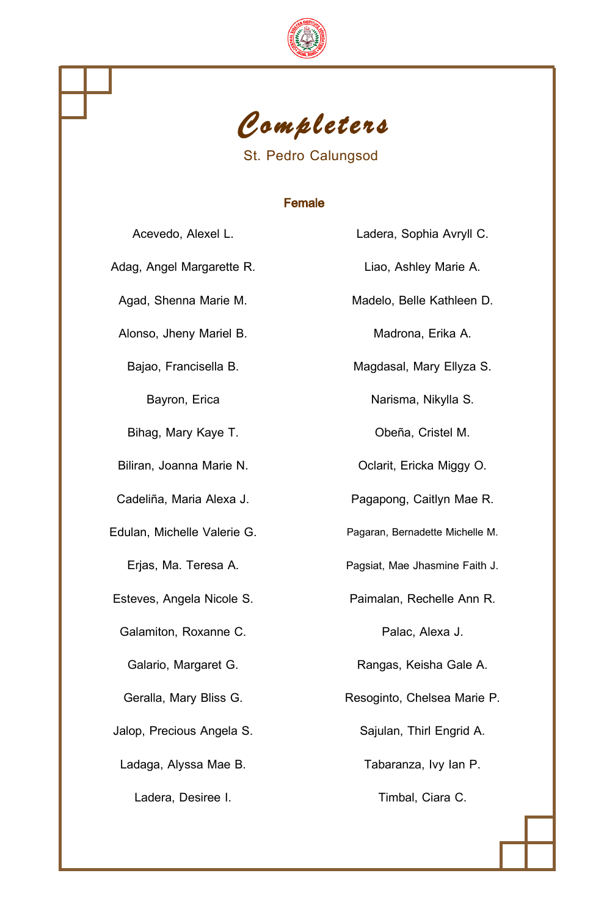



St. Pedro Calungsod

# Female

| Acevedo, Alexel L.          | Ladera, Sophia Avryll C.        |
|-----------------------------|---------------------------------|
| Adag, Angel Margarette R.   | Liao, Ashley Marie A.           |
| Agad, Shenna Marie M.       | Madelo, Belle Kathleen D.       |
| Alonso, Jheny Mariel B.     | Madrona, Erika A.               |
| Bajao, Francisella B.       | Magdasal, Mary Ellyza S.        |
| Bayron, Erica               | Narisma, Nikylla S.             |
| Bihag, Mary Kaye T.         | Obeña, Cristel M.               |
| Biliran, Joanna Marie N.    | Oclarit, Ericka Miggy O.        |
| Cadeliña, Maria Alexa J.    | Pagapong, Caitlyn Mae R.        |
| Edulan, Michelle Valerie G. | Pagaran, Bernadette Michelle M. |
| Erjas, Ma. Teresa A.        | Pagsiat, Mae Jhasmine Faith J.  |
| Esteves, Angela Nicole S.   | Paimalan, Rechelle Ann R.       |
| Galamiton, Roxanne C.       | Palac, Alexa J.                 |
| Galario, Margaret G.        | Rangas, Keisha Gale A.          |
| Geralla, Mary Bliss G.      | Resoginto, Chelsea Marie P.     |
| Jalop, Precious Angela S.   | Sajulan, Thirl Engrid A.        |
| Ladaga, Alyssa Mae B.       | Tabaranza, Ivy Ian P.           |
| Ladera, Desiree I.          | Timbal, Ciara C.                |

| Ladera, Sophia Avryll C.        |
|---------------------------------|
| Liao, Ashley Marie A.           |
| Madelo, Belle Kathleen D.       |
| Madrona, Erika A.               |
| Magdasal, Mary Ellyza S.        |
| Narisma, Nikylla S.             |
| Obeña, Cristel M.               |
| Oclarit, Ericka Miggy O.        |
| Pagapong, Caitlyn Mae R.        |
| Pagaran, Bernadette Michelle M. |
| Pagsiat, Mae Jhasmine Faith J.  |
| Paimalan, Rechelle Ann R.       |
| Palac, Alexa J.                 |
| Rangas, Keisha Gale A.          |
| Resoginto, Chelsea Marie P.     |
| Sajulan, Thirl Engrid A.        |
| Tabaranza, Ivy lan P.           |
| Timbal, Ciara C.                |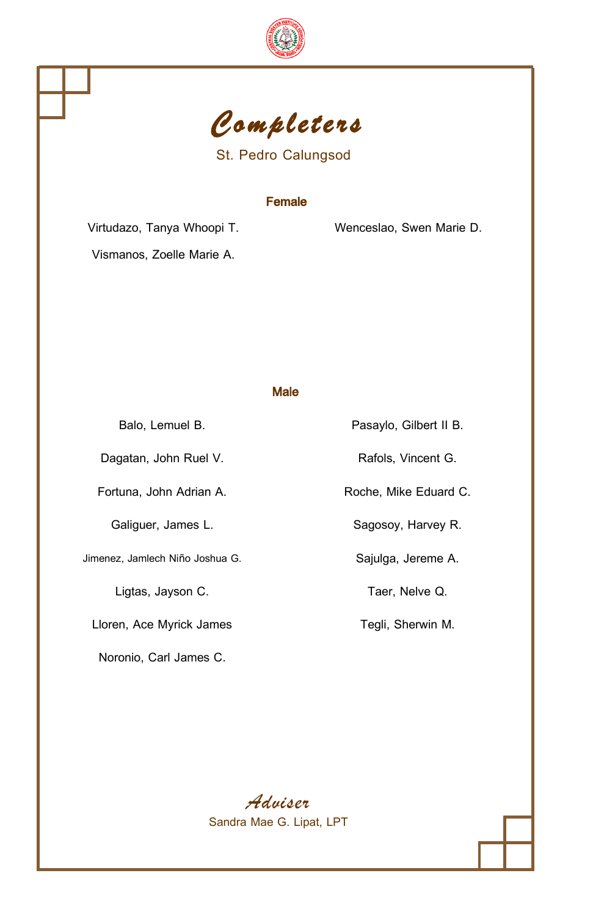



St. Pedro Calungsod

### Female

Virtudazo, Tanya Whoopi T. Wenceslao, Swen Marie D.

Vismanos, Zoelle Marie A.

Male

Jimenez, Jamlech Niño Joshua G. Sajulga, Jereme A.

Lloren, Ace Myrick James Tegli, Sherwin M.

Noronio, Carl James C.

Balo, Lemuel B. **Pasaylo, Gilbert II B.** Dagatan, John Ruel V. Rafols, Vincent G. Fortuna, John Adrian A. **Roche, Mike Eduard C.** Roche, Mike Eduard C. Galiguer, James L. Sagosoy, Harvey R. Ligtas, Jayson C. **Taer**, Nelve Q.

> *Adviser* Sandra Mae G. Lipat, LPT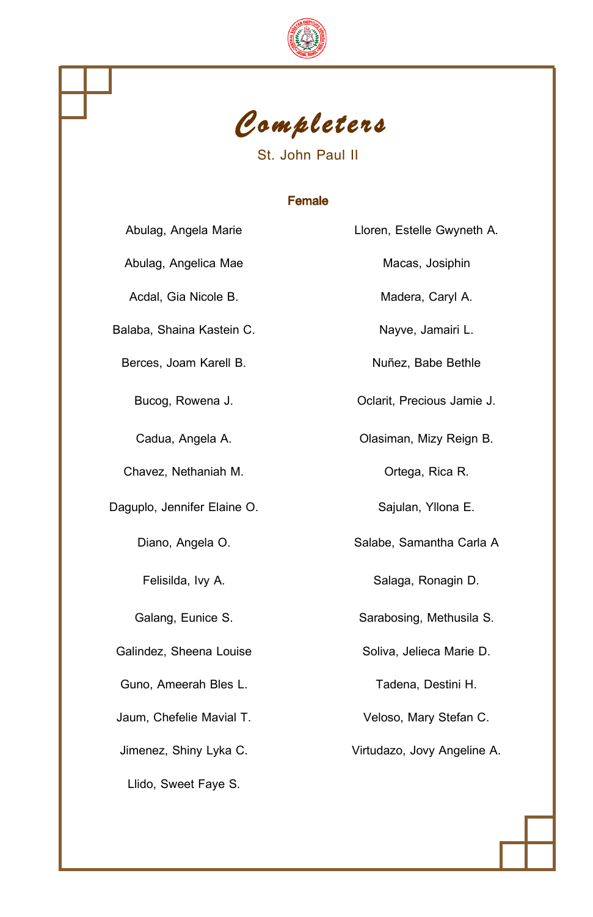



## St. John Paul II

## Female

| Abulag, Angela Marie        |
|-----------------------------|
| Abulag, Angelica Mae        |
| Acdal, Gia Nicole B.        |
| Balaba, Shaina Kastein C.   |
| Berces, Joam Karell B.      |
| Bucog, Rowena J.            |
| Cadua, Angela A.            |
| Chavez, Nethaniah M.        |
| Daguplo, Jennifer Elaine O. |
| Diano, Angela O.            |
| Felisilda, Ivy A.           |
| Galang, Eunice S.           |
| Galindez, Sheena Louise     |
| Guno, Ameerah Bles L.       |
| Jaum, Chefelie Mavial T.    |
| Jimenez, Shiny Lyka C.      |
| Llido, Sweet Faye S.        |

Macas, Josiphin Madera, Caryl A. Nayve, Jamairi L. Nuñez, Babe Bethle Oclarit, Precious Jamie J. Olasiman, Mizy Reign B. Ortega, Rica R. Sajulan, Yllona E. Salabe, Samantha Carla A. Salaga, Ronagin D. Sarabosing, Methusila S. Soliva, Jelieca Marie D. Tadena, Destini H. Veloso, Mary Stefan C.

Lloren, Estelle Gwyneth A.

Virtudazo, Jovy Angeline A.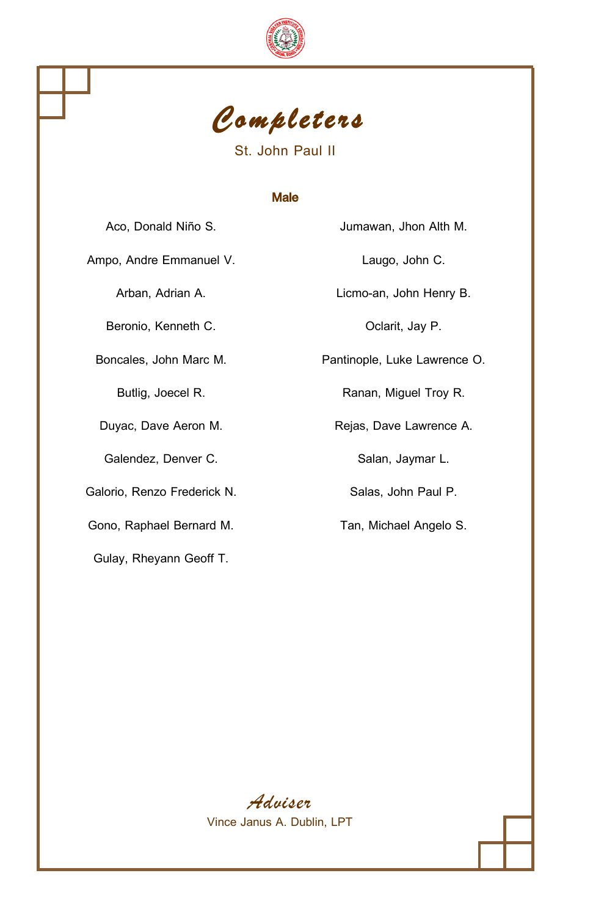



St. John Paul II

### Male

Ampo, Andre Emmanuel V. **Laugo, John C.** 

Beronio, Kenneth C. Collection C. Collection C.

Galendez, Denver C. Salan, Jaymar L.

Galorio, Renzo Frederick N. Salas, John Paul P.

Gono, Raphael Bernard M. Tan, Michael Angelo S.

Gulay, Rheyann Geoff T.

Aco, Donald Niño S. Jumawan, Jhon Alth M.

Arban, Adrian A. Licmo-an, John Henry B.

Boncales, John Marc M. **Pantinople**, Luke Lawrence O.

Butlig, Joecel R. **Ranan**, Miguel Troy R.

Duyac, Dave Aeron M. **Rejas**, Dave Lawrence A.

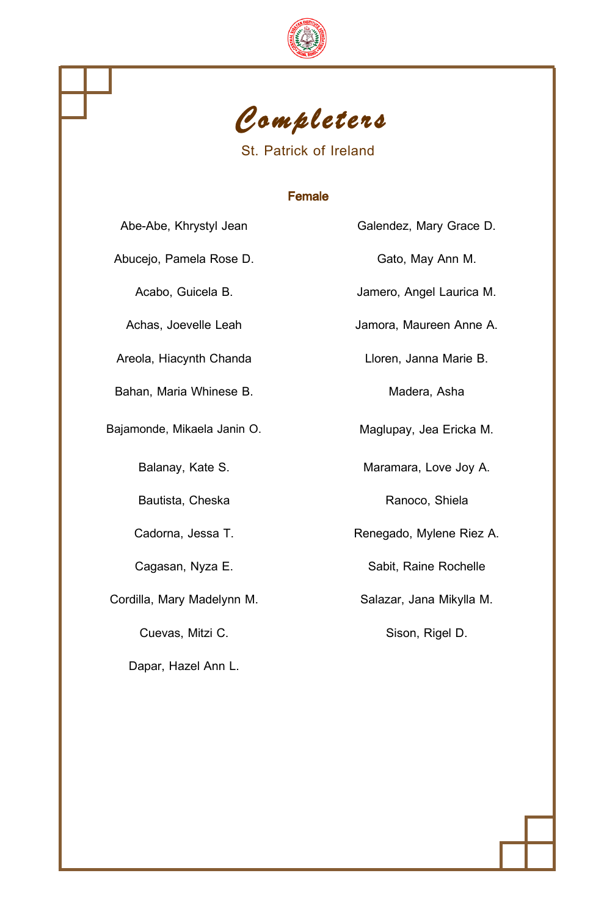



St. Patrick of Ireland

## Female

| Abe-Abe, Khrystyl Jean      | Galendez, Mary Grace D.  |
|-----------------------------|--------------------------|
| Abucejo, Pamela Rose D.     | Gato, May Ann M.         |
| Acabo, Guicela B.           | Jamero, Angel Laurica M. |
| Achas, Joevelle Leah        | Jamora, Maureen Anne A.  |
| Areola, Hiacynth Chanda     | Lloren, Janna Marie B.   |
| Bahan, Maria Whinese B.     | Madera, Asha             |
| Bajamonde, Mikaela Janin O. | Maglupay, Jea Ericka M.  |
| Balanay, Kate S.            | Maramara, Love Joy A.    |
| Bautista, Cheska            | Ranoco, Shiela           |
| Cadorna, Jessa T.           | Renegado, Mylene Riez A. |
| Cagasan, Nyza E.            | Sabit, Raine Rochelle    |
| Cordilla, Mary Madelynn M.  | Salazar, Jana Mikylla M. |
| Cuevas, Mitzi C.            | Sison, Rigel D.          |
| Dapar, Hazel Ann L.         |                          |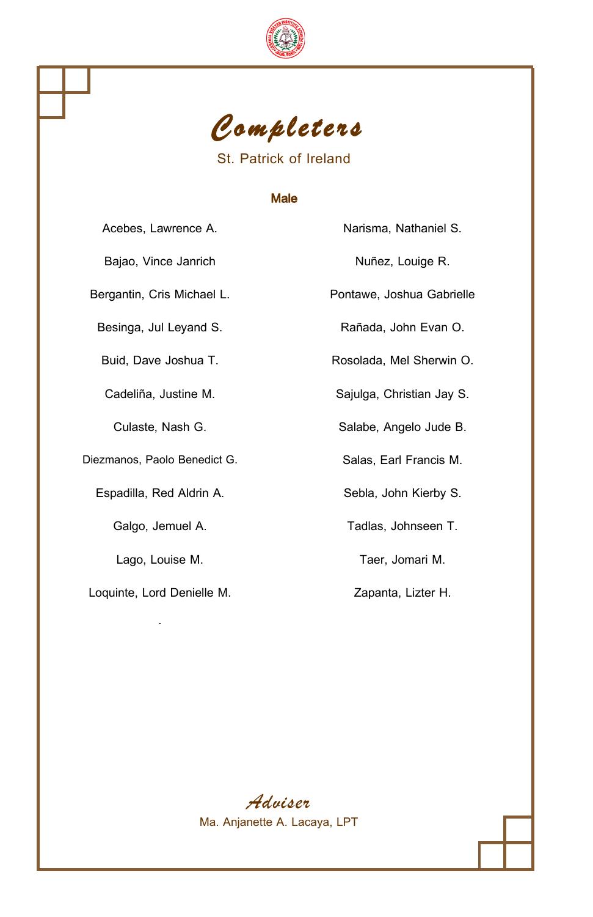



St. Patrick of Ireland

#### Male

Bajao, Vince Janrich **Nuñez**, Louige R.

Diezmanos, Paolo Benedict G. Salas, Earl Francis M.

Espadilla, Red Aldrin A. Sebla, John Kierby S.

Lago, Louise M. **Taer**, Jomari M.

Loquinte, Lord Denielle M. **Zapanta, Lizter H.** Zapanta, Lizter H. .

Acebes, Lawrence A. Narisma, Nathaniel S.

Bergantin, Cris Michael L. Pontawe, Joshua Gabrielle

Besinga, Jul Leyand S. **Rañada, John Evan O.** Rañada, John Evan O.

Buid, Dave Joshua T. **Rosolada**, Mel Sherwin O.

Cadeliña, Justine M. Sajulga, Christian Jay S.

Culaste, Nash G. Salabe, Angelo Jude B.

Galgo, Jemuel A. Tadlas, Johnseen T.

*Adviser* Ma. Anjanette A. Lacaya, LPT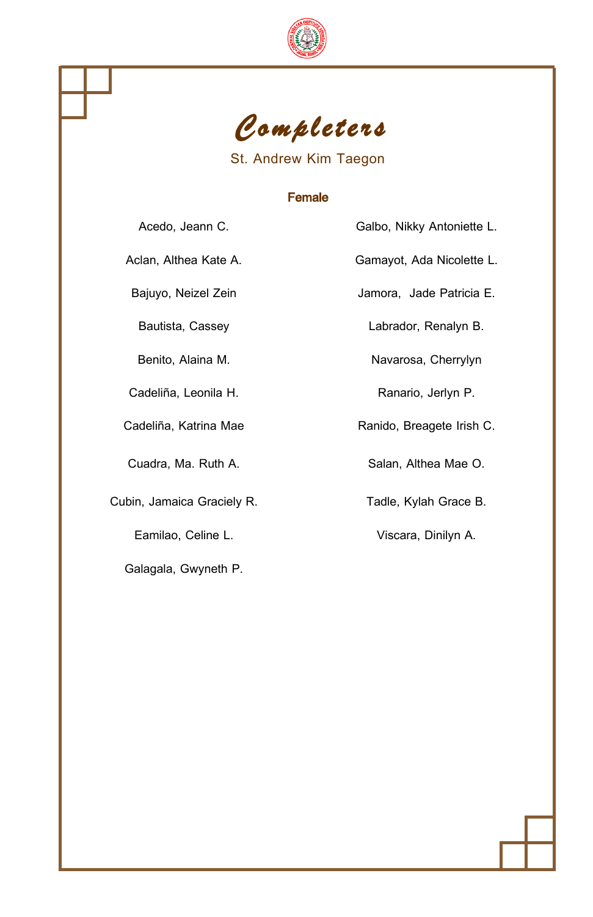



## St. Andrew Kim Taegon

### Female

Acedo, Jeann C. **Galbo, Nikky Antoniette L.** 

Aclan, Althea Kate A. Gamayot, Ada Nicolette L.

Cadeliña, Leonila H. Ranario, Jerlyn P.

Cubin, Jamaica Graciely R. Tadle, Kylah Grace B.

Galagala, Gwyneth P.

Bajuyo, Neizel Zein **Machala Accesso State** Jamora, Jade Patricia E.

Bautista, Cassey Labrador, Renalyn B.

Benito, Alaina M. Navarosa, Cherrylyn

Cadeliña, Katrina Mae Ranido, Breagete Irish C.

Cuadra, Ma. Ruth A. Salan, Althea Mae O.

Eamilao, Celine L. **Viscara**, Dinilyn A.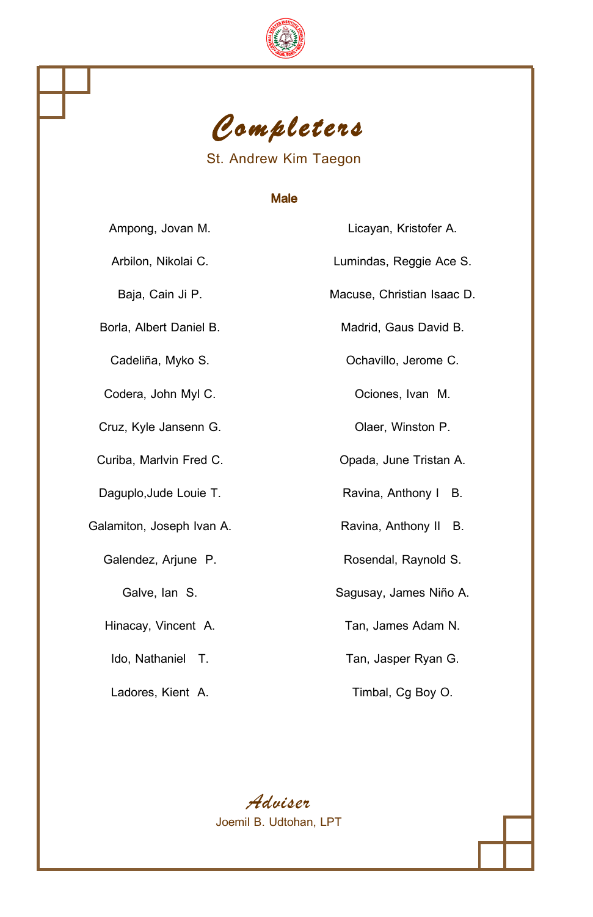



St. Andrew Kim Taegon

### Male

Galamiton, Joseph Ivan A. Ravina, Anthony II B.

Ampong, Jovan M. Licayan, Kristofer A. Arbilon, Nikolai C. **Lumindas**, Reggie Ace S. Baja, Cain Ji P. **Macuse, Christian Isaac D.** Borla, Albert Daniel B. Madrid, Gaus David B. Cadeliña, Myko S. **Cadeliña**, Myko S. **Cadeliña**, Myko S. **Cadeliña**, Jerome C. Codera, John Myl C. Codera, Ivan M. Cruz, Kyle Jansenn G. Cruz, Kyle Jansenn G. Curiba, Marlvin Fred C. Curiba, Opada, June Tristan A. Daguplo, Jude Louie T. **Ravina**, Anthony I B. Galendez, Arjune P. **Rosendal**, Raynold S. Galve, Ian S. Sagusay, James Niño A.

Hinacay, Vincent A. Tan, James Adam N.

Ido, Nathaniel T. Tan, Jasper Ryan G.

Ladores, Kient A. **Timbal, Cg Boy O.** 

*Adviser* Joemil B. Udtohan, LPT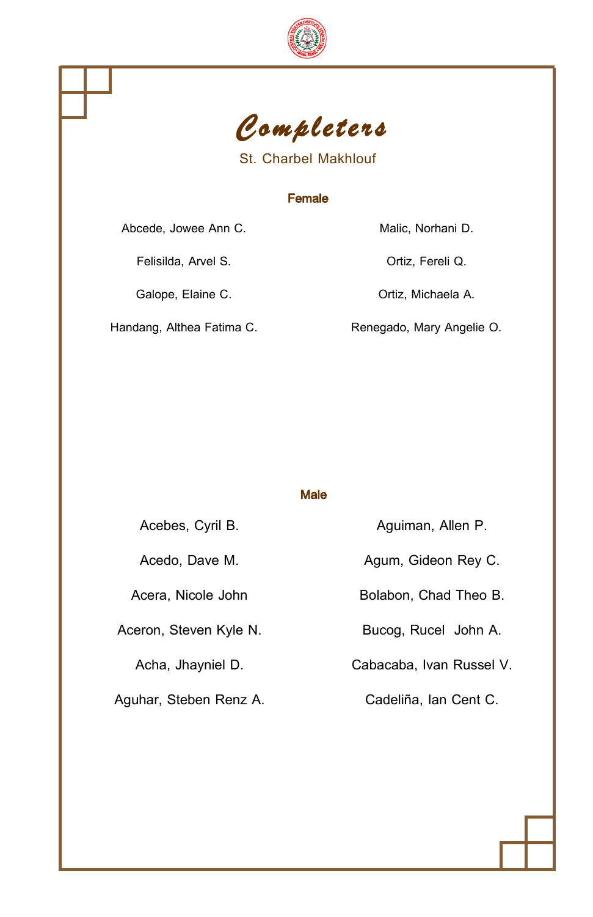



St. Charbel Makhlouf

## Female

Abcede, Jowee Ann C. Malic, Norhani D.

Felisilda, Arvel S. Charles Continuity of Continuity Continuity Ortiz, Fereli Q.

Galope, Elaine C. **C. C. A. S. A. C. A. C. A. C. A. C. A. C. A. C. A. C. A. C. A. C. A. C. A. C. A. C. A. C. A.** 

Handang, Althea Fatima C. Renegado, Mary Angelie O.

Male

| Acebes, Cyril B.       | Aguiman, Allen P.        |
|------------------------|--------------------------|
| Acedo, Dave M.         | Agum, Gideon Rey C.      |
| Acera. Nicole John     | Bolabon, Chad Theo B.    |
| Aceron, Steven Kyle N. | Bucog, Rucel John A.     |
| Acha, Jhayniel D.      | Cabacaba, Ivan Russel V. |
| Aguhar, Steben Renz A. | Cadeliña, Ian Cent C.    |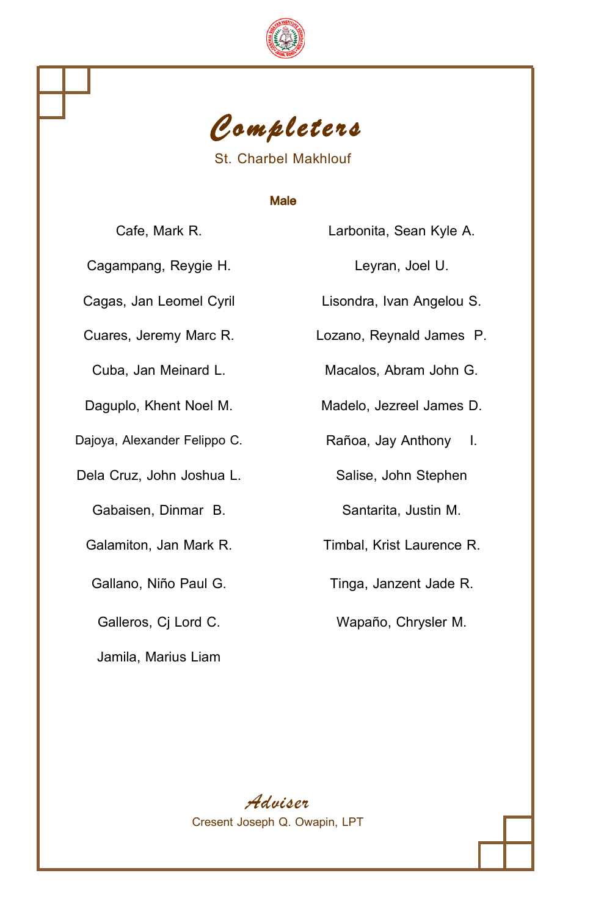



St. Charbel Makhlouf

## Male

Cafe, Mark R.

Cagampang, Reygie H.

Cagas, Jan Leomel Cyril

Cuares, Jeremy Marc R.

Cuba, Jan Meinard L.

Daguplo, Khent Noel M.

Dajoya, Alexander Felippo C.

Dela Cruz, John Joshua L.

Gabaisen, Dinmar B.

Jamila, Marius Liam

| Larbonita, Sean Kyle A.   |  |
|---------------------------|--|
| Leyran, Joel U.           |  |
| Lisondra, Ivan Angelou S. |  |
| Lozano, Reynald James P.  |  |
| Macalos, Abram John G.    |  |
| Madelo, Jezreel James D.  |  |
| Rañoa, Jay Anthony I.     |  |
| Salise, John Stephen      |  |
| Santarita, Justin M.      |  |

Galamiton, Jan Mark R. Timbal, Krist Laurence R.

Gallano, Niño Paul G. Tinga, Janzent Jade R.

Galleros, Cj Lord C. Wapaño, Chrysler M.

*Adviser* Cresent Joseph Q. Owapin, LPT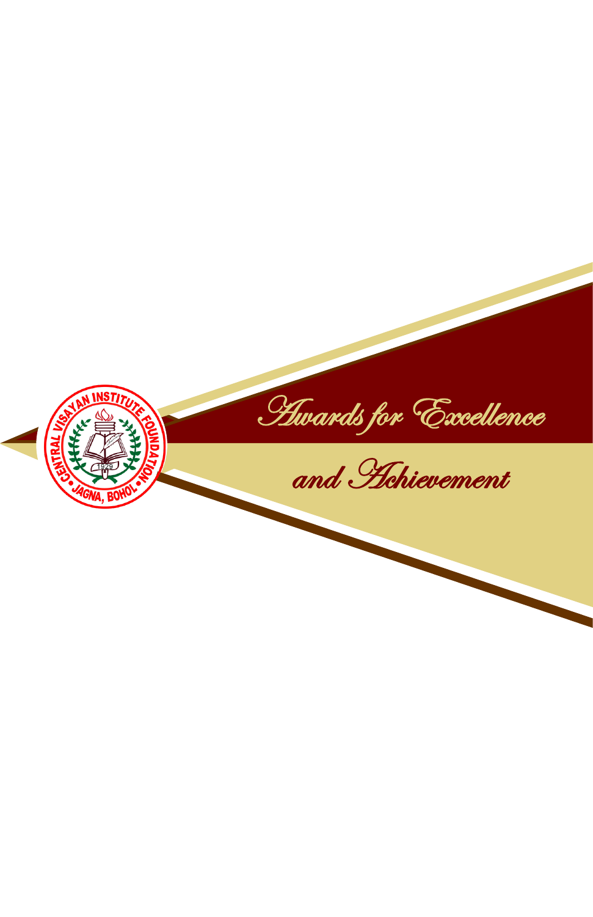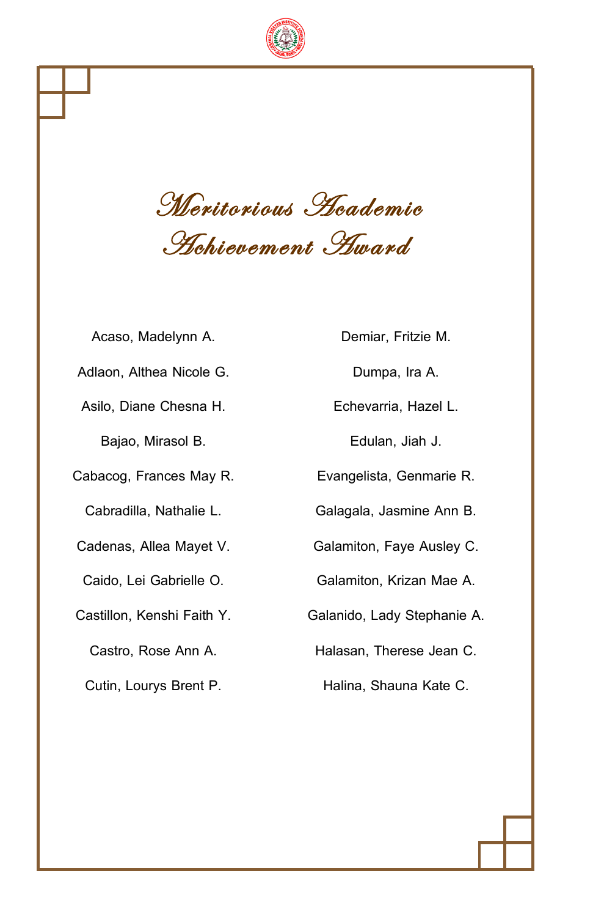

Meritorious Academic Achievement Award

Acaso, Madelynn A. Demiar, Fritzie M. Adlaon, Althea Nicole G. **Dumpa, Ira A.** Dumpa, Ira A. Asilo, Diane Chesna H. **Echevarria, Hazel L.** Bajao, Mirasol B. **Edulan**, Jiah J. Cabacog, Frances May R. Evangelista, Genmarie R. Cabradilla, Nathalie L. Galagala, Jasmine Ann B. Cadenas, Allea Mayet V. Galamiton, Faye Ausley C. Caido, Lei Gabrielle O. Galamiton, Krizan Mae A. Castillon, Kenshi Faith Y. Galanido, Lady Stephanie A. Cutin, Lourys Brent P. **Halina**, Shauna Kate C.

Castro, Rose Ann A. Halasan, Therese Jean C.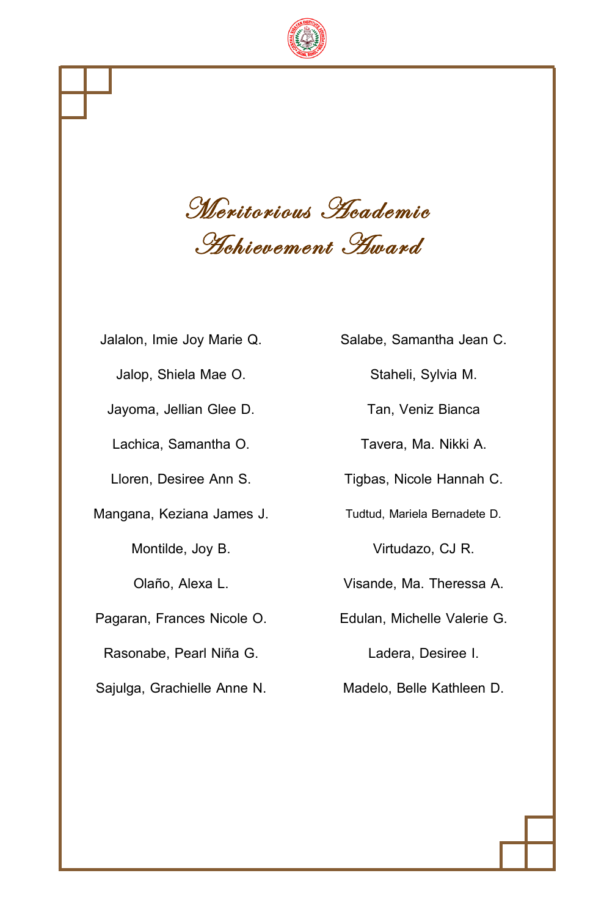

Meritorious Academic Achievement Award

| Jalalon, Imie Joy Marie Q.  | Salabe, Samantha Jean C.     |
|-----------------------------|------------------------------|
| Jalop, Shiela Mae O.        | Staheli, Sylvia M.           |
| Jayoma, Jellian Glee D.     | Tan, Veniz Bianca            |
| Lachica, Samantha O.        | Tavera, Ma. Nikki A.         |
| Lloren, Desiree Ann S.      | Tigbas, Nicole Hannah C.     |
| Mangana, Keziana James J.   | Tudtud, Mariela Bernadete D. |
| Montilde, Joy B.            | Virtudazo, CJ R.             |
| Olaño, Alexa L.             | Visande, Ma. Theressa A.     |
| Pagaran, Frances Nicole O.  | Edulan, Michelle Valerie G.  |
| Rasonabe, Pearl Niña G.     | Ladera, Desiree I.           |
| Sajulga, Grachielle Anne N. | Madelo, Belle Kathleen D.    |
|                             |                              |